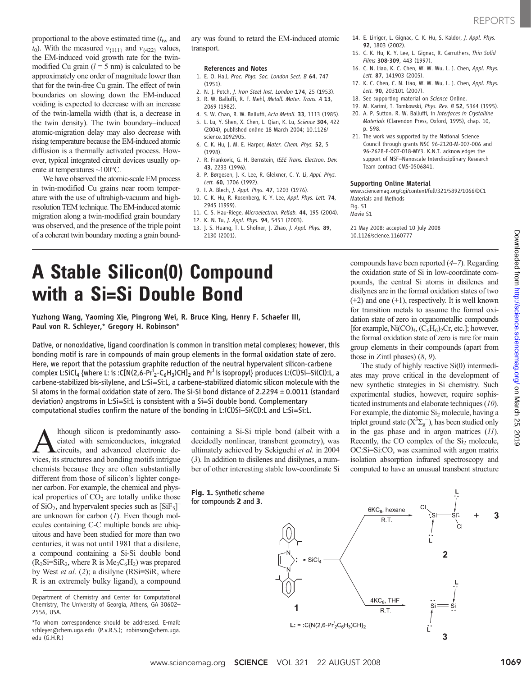proportional to the above estimated time  $(t<sub>tw</sub>$  and  $t_0$ ). With the measured  $v_{\{111\}}$  and  $v_{\{422\}}$  values, the EM-induced void growth rate for the twinmodified Cu grain  $(l = 5$  nm) is calculated to be approximately one order of magnitude lower than that for the twin-free Cu grain. The effect of twin boundaries on slowing down the EM-induced voiding is expected to decrease with an increase of the twin-lamella width (that is, a decrease in the twin density). The twin boundary–induced atomic-migration delay may also decrease with rising temperature because the EM-induced atomic diffusion is a thermally activated process. However, typical integrated circuit devices usually operate at temperatures ~100°C.

We have observed the atomic-scale EM process in twin-modified Cu grains near room temperature with the use of ultrahigh-vacuum and highresolution TEM technique. The EM-induced atomic migration along a twin-modified grain boundary was observed, and the presence of the triple point of a coherent twin boundary meeting a grain boundary was found to retard the EM-induced atomic transport.

#### References and Notes

- 1. E. O. Hall, Proc. Phys. Soc. London Sect. B 64, 747 (1951).
- 2. N. I. Petch, *I. Iron Steel Inst. London* 174, 25 (1953).
- 3. R. W. Balluffi, R. F. Mehl, Metall. Mater. Trans. A 13, 2069 (1982).
- 4. S. W. Chan, R. W. Balluffi, Acta Metall. 33, 1113 (1985).
- 5. L. Lu, Y. Shen, X. Chen, L. Qian, K. Lu, Science 304, 422 (2004), published online 18 March 2004; 10.1126/
- science.1092905. 6. C. K. Hu, J. M. E. Harper, Mater. Chem. Phys. 52, 5 (1998).
- 7. R. Frankovic, G. H. Bernstein, IEEE Trans. Electron. Dev. 43, 2233 (1996).
- 8. P. Børgesen, J. K. Lee, R. Gleixner, C. Y. Li, Appl. Phys. Lett. 60, 1706 (1992).
- 9. I. A. Blech, J. Appl. Phys. 47, 1203 (1976).
- 10. C. K. Hu, R. Rosenberg, K. Y. Lee, Appl. Phys. Lett. 74,
- 2945 (1999). 11. C. S. Hau-Riege, Microelectron. Reliab. 44, 195 (2004).
- 12. K. N. Tu, J. Appl. Phys. 94, 5451 (2003).
- 13. J. S. Huang, T. L. Shofner, J. Zhao, J. Appl. Phys. 89, 2130 (2001).
- 14. E. Liniger, L. Gignac, C. K. Hu, S. Kaldor, J. Appl. Phys. 92, 1803 (2002).
- 15. C. K. Hu, K. Y. Lee, L. Gignac, R. Carruthers, Thin Solid Films 308-309, 443 (1997).
- 16. C. N. Liao, K. C. Chen, W. W. Wu, L. J. Chen, Appl. Phys. Lett. 87, 141903 (2005).
- 17. K. C. Chen, C. N. Liao, W. W. Wu, L. J. Chen, Appl. Phys. Lett. 90, 203101 (2007).
- 18. See supporting material on Science Online.
- 19. M. Karimi, T. Tomkowski, Phys. Rev. B 52, 5364 (1995).
- 20. A. P. Sutton, R. W. Balluffi, in Interfaces in Crystalline Materials (Clarendon Press, Oxford, 1995), chap. 10, p. 598.
- 21. The work was supported by the National Science Council through grants NSC 96-2120-M-007-006 and 96-2628-E-007-018-MY3. K.N.T. acknowledges the support of NSF–Nanoscale Interdisciplinary Research Team contract CMS-0506841.

### Supporting Online Material

www.sciencemag.org/cgi/content/full/321/5892/1066/DC1 Materials and Methods Fig. S1 Movie S1

compounds have been reported (4–7). Regarding the oxidation state of Si in low-coordinate compounds, the central Si atoms in disilenes and disilynes are in the formal oxidation states of two  $(+2)$  and one  $(+1)$ , respectively. It is well known for transition metals to assume the formal oxidation state of zero in organometallic compounds [for example,  $Ni(CO)_4$ ,  $(C_6H_6)_2Cr$ , etc.]; however, the formal oxidation state of zero is rare for main group elements in their compounds (apart from

The study of highly reactive Si(0) intermediates may prove critical in the development of new synthetic strategies in Si chemistry. Such experimental studies, however, require sophisticated instruments and elaborate techniques (10). For example, the diatomic  $Si<sub>2</sub>$  molecule, having a triplet ground state  $(X^3\Sigma_g^-)$ , has been studied only in the gas phase and in argon matrices (11). Recently, the  $CO$  complex of the  $Si<sub>2</sub>$  molecule, OC:Si=Si:CO, was examined with argon matrix isolation absorption infrared spectroscopy and computed to have an unusual transbent structure

21 May 2008; accepted 10 July 2008 10.1126/science.1160777

those in Zintl phases)  $(8, 9)$ .

# A Stable Silicon(0) Compound with a Si=Si Double Bond

Yuzhong Wang, Yaoming Xie, Pingrong Wei, R. Bruce King, Henry F. Schaefer III, Paul von R. Schleyer,\* Gregory H. Robinson\*

Dative, or nonoxidative, ligand coordination is common in transition metal complexes; however, this bonding motif is rare in compounds of main group elements in the formal oxidation state of zero. Here, we report that the potassium graphite reduction of the neutral hypervalent silicon-carbene complex L:SiCl $_4$  {where L: is :C[N(2,6-Pr $^i{}_2$ -C $_6$ H $_3$ )CH] $_2$  and Pr $^i$  is isopropyl $\}$  produces L:(Cl)Si—Si(Cl):L, a carbene-stabilized bis-silylene, and L:Si=Si:L, a carbene-stabilized diatomic silicon molecule with the Si atoms in the formal oxidation state of zero. The Si-Si bond distance of 2.2294  $\pm$  0.0011 (standard deviation) angstroms in L:Si=Si:L is consistent with a Si=Si double bond. Complementary computational studies confirm the nature of the bonding in L:(Cl)Si–Si(Cl):L and L:Si=Si:L.

A lthough silicon is predominantly associated with semiconductors, integrated circuits, and advanced electronic deciated with semiconductors, integrated vices, its structures and bonding motifs intrigue chemists because they are often substantially different from those of silicon's lighter congener carbon. For example, the chemical and physical properties of  $CO<sub>2</sub>$  are totally unlike those of  $SiO<sub>2</sub>$ , and hypervalent species such as  $[SiF<sub>5</sub>]$ are unknown for carbon  $(1)$ . Even though molecules containing C-C multiple bonds are ubiquitous and have been studied for more than two centuries, it was not until 1981 that a disilene, a compound containing a Si-Si double bond  $(R_2Si=SiR_2$ , where R is  $Me<sub>3</sub>C<sub>6</sub>H<sub>2</sub>$ ) was prepared by West *et al.* (2); a disilyne ( $RSi \equiv SiR$ , where R is an extremely bulky ligand), a compound

Department of Chemistry and Center for Computational Chemistry, The University of Georgia, Athens, GA 30602– 2556, USA.

\*To whom correspondence should be addressed. E-mail: schleyer@chem.uga.edu (P.v.R.S.); robinson@chem.uga. edu (G.H.R.)

containing a Si-Si triple bond (albeit with a decidedly nonlinear, transbent geometry), was ultimately achieved by Sekiguchi et al. in 2004 (3). In addition to disilenes and disilynes, a number of other interesting stable low-coordinate Si

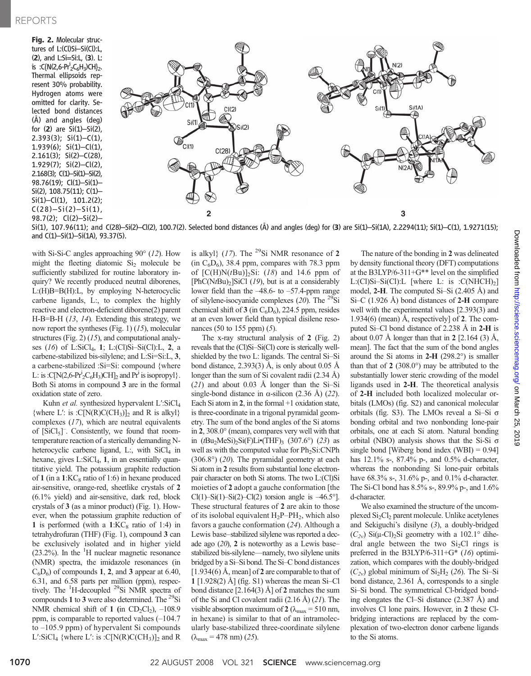Fig. 2. Molecular structures of L:(Cl)Si–Si(Cl):L, (2), and L:Si=Si:L, (3). L: is :C{N(2,6-Pr<sup>i</sup><sub>2</sub>C<sub>6</sub>H<sub>3</sub>)CH}<sub>2</sub>. Thermal ellipsoids represent 30% probability. Hydrogen atoms were omitted for clarity. Selected bond distances (Å) and angles (deg) for (2) are Si(1)–Si(2),  $2.393(3)$ ; Si(1)–C(1),  $1.939(6)$ ; Si(1)–Cl(1), 2.161(3); Si(2)–C(28), 1.929(7); Si(2)–Cl(2), 2.168(3); C(1)–Si(1)–Si(2), 98.76(19); Cl(1)–Si(1)– Si(2), 108.75(11); C(1)–  $Si(1) – Cl(1), 101.2(2);$  $C(28)-Si(2)-Si(1)$ , 98.7(2); Cl(2)–Si(2)–



Si(1), 107.96(11); and C(28)–Si(2)–Cl(2), 100.7(2). Selected bond distances (Å) and angles (deg) for (3) are Si(1)–Si(1A), 2.2294(11); Si(1)–C(1), 1.9271(15); and C(1)–Si(1)–Si(1A), 93.37(5).

with Si-Si-C angles approaching 90° (12). How might the fleeting diatomic  $Si<sub>2</sub>$  molecule be sufficiently stabilized for routine laboratory inquiry? We recently produced neutral diborenes, L:(H)B=B(H):L, by employing N-heterocyclic carbene ligands, L:, to complex the highly reactive and electron-deficient diborene(2) parent H-B=B-H (13, 14). Extending this strategy, we now report the syntheses (Fig. 1)  $(15)$ , molecular structures (Fig. 2) (15), and computational analyses  $(16)$  of L:SiCl<sub>4</sub>, 1; L:(Cl)Si-Si(Cl):L, 2, a carbene-stabilized bis-silylene; and L:Si=Si:L, 3, a carbene-stabilized :Si=Si: compound {where L: is : $C[N(2,6-Pr<sup>i</sup><sub>2</sub>C<sub>6</sub>H<sub>3</sub>)CH]<sub>2</sub>$  and  $Pr<sup>i</sup>$  is isopropyl}. Both Si atoms in compound 3 are in the formal oxidation state of zero.

Kuhn et al. synthesized hypervalent L':SiCl<sub>4</sub> {where L': is : $C[N(R)C(CH_3)]_2$  and R is alkyl} complexes (17), which are neutral equivalents of [SiCl<sub>5</sub>]<sup>-</sup>. Consistently, we found that roomtemperature reaction of a sterically demanding Nheterocyclic carbene ligand, L:, with  $SiCl<sub>4</sub>$  in hexane, gives  $L:SiCl<sub>4</sub>$ , 1, in an essentially quantitative yield. The potassium graphite reduction of 1 (in a  $1:KC_8$  ratio of 1:6) in hexane produced air-sensitive, orange-red, sheetlike crystals of 2 (6.1% yield) and air-sensitive, dark red, block crystals of 3 (as a minor product) (Fig. 1). However, when the potassium graphite reduction of 1 is performed (with a  $1:KC_8$  ratio of 1:4) in tetrahydrofuran (THF) (Fig. 1), compound 3 can be exclusively isolated and in higher yield  $(23.2%)$ . In the  ${}^{1}$ H nuclear magnetic resonance (NMR) spectra, the imidazole resonances (in  $C_6D_6$ ) of compounds 1, 2, and 3 appear at 6.40, 6.31, and 6.58 parts per million (ppm), respectively. The <sup>1</sup>H-decoupled <sup>29</sup>Si NMR spectra of compounds 1 to 3 were also determined. The  $^{29}$ Si NMR chemical shift of 1 (in  $CD_2Cl_2$ ),  $-108.9$ ppm, is comparable to reported values (–104.7 to –105.9 ppm) of hypervalent Si compounds L':SiCl<sub>4</sub> {where L': is :C[N(R)C(CH<sub>3</sub>)]<sub>2</sub> and R

is alkyl}  $(17)$ . The <sup>29</sup>Si NMR resonance of 2  $(in C<sub>6</sub>D<sub>6</sub>)$ , 38.4 ppm, compares with 78.3 ppm of  $[C(H)N(tBu)]_2Si$ : (18) and 14.6 ppm of  $[PhC(NtBu)$ <sub>2</sub>]SiCl (19), but is at a considerably lower field than the –48.6- to –57.4-ppm range of silylene-isocyanide complexes  $(20)$ . The <sup>29</sup>Si chemical shift of 3 (in  $C_6D_6$ ), 224.5 ppm, resides at an even lower field than typical disilene resonances (50 to 155 ppm) (5).

The x-ray structural analysis of 2 (Fig. 2) reveals that the (Cl)Si–Si(Cl) core is sterically wellshielded by the two L: ligands. The central Si–Si bond distance, 2.393(3) Å, is only about 0.05 Å longer than the sum of Si covalent radii (2.34 Å)  $(21)$  and about 0.03 Å longer than the Si-Si single-bond distance in  $\alpha$ -silicon (2.36 Å) (22). Each Si atom in  $2$ , in the formal  $+1$  oxidation state, is three-coordinate in a trigonal pyramidal geometry. The sum of the bond angles of the Si atoms in 2, 308.0° (mean), compares very well with that in  $(tBu_2MeSi)_2Si(F)Li*(THF)_3$  (307.6°) (23) as well as with the computed value for Ph<sub>2</sub>Si:CNPh (306.8°) (20). The pyramidal geometry at each Si atom in 2 results from substantial lone electronpair character on both Si atoms. The two L:(Cl)Si moieties of 2 adopt a gauche conformation [the Cl(1)–Si(1)–Si(2)–Cl(2) torsion angle is  $-46.5^{\circ}$ . These structural features of 2 are akin to those of its isolobal equivalent  $H_2P-PH_2$ , which also favors a gauche conformation (24). Although a Lewis base–stabilized silylene was reported a decade ago  $(20)$ , 2 is noteworthy as a Lewis base– stabilized bis-silylene—namely, two silylene units bridged by a Si–Si bond. The Si–C bond distances  $[1.934(6)$  Å, mean] of 2 are comparable to that of 1 [1.928(2) Å] (fig. S1) whereas the mean Si-Cl bond distance  $[2.164(3)$  Å] of 2 matches the sum of the Si and Cl covalent radii (2.16 Å) (21). The visible absorption maximum of 2 ( $\lambda_{\text{max}}$  = 510 nm, in hexane) is similar to that of an intramolecularly base-stabilized three-coordinate silylene  $(\lambda_{\text{max}} = 478 \text{ nm}) (25)$ .

The nature of the bonding in 2 was delineated by density functional theory (DFT) computations at the B3LYP/6-311+G\*\* level on the simplified L: $(Cl)Si-Si(Cl):L$  [where L: is : $C(NHCH)_2$ ] model, 2-H. The computed Si–Si (2.405 Å) and Si–C (1.926 Å) bond distances of 2-H compare well with the experimental values [2.393(3) and 1.934(6) (mean) Å, respectively] of 2. The computed Si–Cl bond distance of 2.238 Å in 2-H is about 0.07 Å longer than that in  $2$  [2.164 (3) Å, mean]. The fact that the sum of the bond angles around the Si atoms in  $2-H$  (298.2°) is smaller than that of  $2$  (308.0°) may be attributed to the substantially lower steric crowding of the model ligands used in 2-H. The theoretical analysis of 2-H included both localized molecular orbitals (LMOs) (fig. S2) and canonical molecular orbitals (fig. S3). The LMOs reveal a Si-Si  $\sigma$ bonding orbital and two nonbonding lone-pair orbitals, one at each Si atom. Natural bonding orbital (NBO) analysis shows that the Si-Si  $\sigma$ single bond [Wiberg bond index  $(WBI) = 0.94$ ] has 12.1% s-, 87.4% p-, and 0.5% d-character, whereas the nonbonding Si lone-pair orbitals have 68.3% s-, 31.6% p-, and 0.1% d-character. The Si-Cl bond has 8.5% s-, 89.9% p-, and 1.6% d-character.

We also examined the structure of the uncomplexed  $Si<sub>2</sub>Cl<sub>2</sub>$  parent molecule. Unlike acetylenes and Sekiguchi's disilyne (3), a doubly-bridged  $(C_{2v})$  Si( $\mu$ -Cl)<sub>2</sub>Si geometry with a 102.1° dihedral angle between the two  $Si<sub>2</sub>Cl$  rings is preferred in the B3LYP/6-311+ $G^*$  (16) optimization, which compares with the doubly-bridged  $(C_{2v})$  global minimum of  $Si<sub>2</sub>H<sub>2</sub>$  (26). The Si–Si bond distance, 2.361 Å, corresponds to a single Si–Si bond. The symmetrical Cl-bridged bonding elongates the Cl–Si distance (2.387 Å) and involves Cl lone pairs. However, in 2 these Clbridging interactions are replaced by the complexation of two-electron donor carbene ligands to the Si atoms.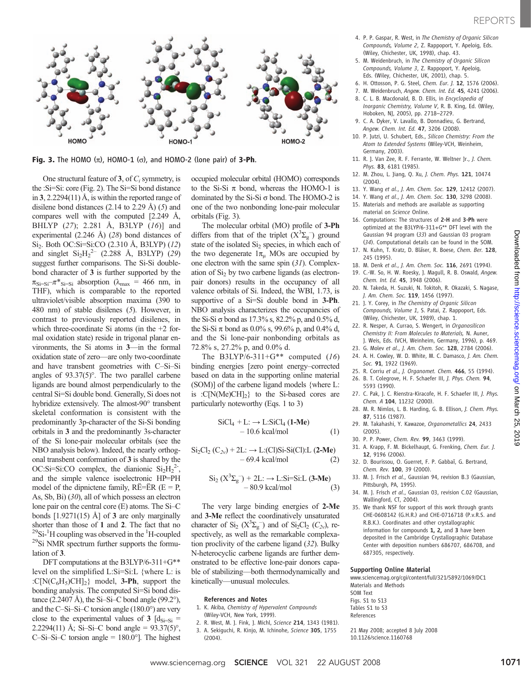

Fig. 3. The HOMO  $(\pi)$ , HOMO-1  $(\sigma)$ , and HOMO-2 (lone pair) of 3-Ph.

One structural feature of 3, of  $C_i$  symmetry, is the :Si=Si: core (Fig. 2). The Si=Si bond distance in 3, 2.2294(11) Å, is within the reported range of disilene bond distances  $(2.14 \text{ to } 2.29 \text{ Å})$  (5) and compares well with the computed [2.249 Å, BHLYP (27); 2.281 Å, B3LYP (16)] and experimental (2.246 Å) (28) bond distances of Si<sub>2</sub>. Both OC:Si=Si:CO (2.310 Å, B3LYP) (12) and singlet  $Si<sub>2</sub>H<sub>2</sub><sup>2-</sup>$  (2.288 Å, B3LYP) (29) suggest further comparisons. The Si-Si doublebond character of 3 is further supported by the  $\pi_{\text{Si}=Si}-\pi^*_{\text{Si}=Si}$  absorption ( $\lambda_{\text{max}} = 466$  nm, in THF), which is comparable to the reported ultraviolet/visible absorption maxima (390 to 480 nm) of stable disilenes (5). However, in contrast to previously reported disilenes, in which three-coordinate Si atoms (in the +2 formal oxidation state) reside in trigonal planar environments, the Si atoms in 3—in the formal oxidation state of zero—are only two-coordinate and have transbent geometries with C–Si–Si angles of 93.37(5)°. The two parallel carbene ligands are bound almost perpendicularly to the central Si=Si double bond. Generally, Si does not hybridize extensively. The almost-90° transbent skeletal conformation is consistent with the predominantly 3p-character of the Si-Si bonding orbitals in 3 and the predominantly 3s-character of the Si lone-pair molecular orbitals (see the NBO analysis below). Indeed, the nearly orthogonal transbent conformation of 3 is shared by the OC:Si=Si:CO complex, the dianionic  $Si<sub>2</sub>H<sub>2</sub><sup>2</sup>$ , and the simple valence isoelectronic HP=PH model of the dipnictene family,  $R\ddot{E}=\ddot{E}R$  (E = P, As, Sb, Bi) (30), all of which possess an electron lone pair on the central core (E) atoms. The Si–C bonds  $[1.9271(15)$  Å] of 3 are only marginally shorter than those of 1 and 2. The fact that no  $^{29}$ Si-<sup>1</sup>H coupling was observed in the <sup>1</sup>H-coupled  $^{29}$ Si NMR spectrum further supports the formulation of 3.

DFT computations at the B3LYP/6-311+G\*\* level on the simplified L:Si=Si:L {where L: is : $C[N(C_6H_5)CH]_2$ } model, **3-Ph**, support the bonding analysis. The computed Si=Si bond distance  $(2.2407 \text{ Å})$ , the Si–Si–C bond angle  $(99.2^{\circ})$ , and the C–Si–Si–C torsion angle (180.0°) are very close to the experimental values of 3  $\left[\frac{d}{s-1}\right]$  = 2.2294(11) Å; Si-Si-C bond angle =  $93.37(5)^\circ$ , C–Si–Si–C torsion angle =  $180.0^{\circ}$ ]. The highest occupied molecular orbital (HOMO) corresponds to the Si-Si  $\pi$  bond, whereas the HOMO-1 is dominated by the Si-Si  $\sigma$  bond. The HOMO-2 is one of the two nonbonding lone-pair molecular orbitals (Fig. 3).

The molecular orbital (MO) profile of 3-Ph differs from that of the triplet  $(X^3\Sigma_g^-)$  ground state of the isolated  $Si<sub>2</sub>$  species, in which each of the two degenerate  $1\pi$ <sub>u</sub> MOs are occupied by one electron with the same spin (31). Complexation of  $Si<sub>2</sub>$  by two carbene ligands (as electronpair donors) results in the occupancy of all valence orbitals of Si. Indeed, the WBI, 1.73, is supportive of a Si=Si double bond in 3-Ph. NBO analysis characterizes the occupancies of the Si-Si  $\sigma$  bond as 17.3% s, 82.2% p, and 0.5% d, the Si-Si  $\pi$  bond as 0.0% s, 99.6% p, and 0.4% d, and the Si lone-pair nonbonding orbitals as 72.8% s, 27.2% p, and 0.0% d.

The B3LYP/6-311+ $G^{**}$  computed (16) binding energies [zero point energy–corrected based on data in the supporting online material (SOM)] of the carbene ligand models {where L: is : $C[N(Me)CH]_2$ } to the Si-based cores are particularly noteworthy (Eqs. 1 to 3)

$$
\begin{aligned} \text{SiCl}_4 + \text{L:} &\rightarrow \text{L:SiCl}_4 \left( \mathbf{1} \text{-M} \mathbf{e} \right) \\ &- 10.6 \text{ kcal/mol} \end{aligned} \tag{1}
$$

$$
\mathrm{Si}_2\mathrm{Cl}_2(C_{2v}) + 2L: \rightarrow L:(Cl)\mathrm{Si}\text{-Si}(\mathrm{Cl}).L \text{ (2-Me)}- 69.4 \text{ kcal/mol} \tag{2}
$$

$$
Si_2 (X^3 \Sigma_g^-) + 2L: \rightarrow L: Si=Si:L (3-Me)
$$
  
- 80.9 kcal/mol (3)

The very large binding energies of 2-Me and 3-Me reflect the coordinatively unsaturated character of  $\text{Si}_2$  ( $\text{X}^3\Sigma_g^-$ ) and of  $\text{Si}_2\text{Cl}_2$  ( $C_{2\nu}$ ), respectively, as well as the remarkable complexation proclivity of the carbene ligand (32). Bulky N-heterocyclic carbene ligands are further demonstrated to be effective lone-pair donors capable of stabilizing—both thermodynamically and kinetically—unusual molecules.

#### References and Notes

- 1. K. Akiba, Chemistry of Hypervalent Compounds (Wiley-VCH, New York, 1999).
- 2. R. West, M. J. Fink, J. Michl, Science 214, 1343 (1981).
- 3. A. Sekiguchi, R. Kinjo, M. Ichinohe, Science 305, 1755 (2004).
- 4. P. P. Gaspar, R. West, in The Chemistry of Organic Silicon Compounds, Volume 2, Z. Rappoport, Y. Apeloig, Eds. (Wiley, Chichester, UK, 1998), chap. 43.
- 5. M. Weidenbruch, in The Chemistry of Organic Silicon Compounds, Volume 3, Z. Rappoport, Y. Apeloig, Eds. (Wiley, Chichester, UK, 2001), chap. 5.
- 6. H. Ottosson, P. G. Steel, Chem. Eur. J. 12, 1576 (2006).
- 7. M. Weidenbruch, Angew. Chem. Int. Ed. 45, 4241 (2006).
- 8. C. L. B. Macdonald, B. D. Ellis, in Encyclopedia of Inorganic Chemistry, Volume V, R. B. King, Ed. (Wiley, Hoboken, NJ, 2005), pp. 2718–2729.
- 9. C. A. Dyker, V. Lavallo, B. Donnadieu, G. Bertrand, Angew. Chem. Int. Ed. 47, 3206 (2008).
- 10. P. Jutzi, U. Schubert, Eds., Silicon Chemistry: From the Atom to Extended Systems (Wiley-VCH, Weinheim, Germany, 2003).
- 11. R. J. Van Zee, R. F. Ferrante, W. Weltner Jr., J. Chem. Phys. 83, 6181 (1985).
- 12. M. Zhou, L. Jiang, Q. Xu, J. Chem. Phys. 121, 10474 (2004).
- 13. Y. Wang et al., J. Am. Chem. Soc. 129, 12412 (2007).
- 14. Y. Wang et al., J. Am. Chem. Soc. 130, 3298 (2008).
- 15. Materials and methods are available as supporting material on Science Online.
- 16. Computations: The structures of 2-H and 3-Ph were optimized at the B3LYP/6-311+G\*\* DFT level with the Gaussian 94 program (33) and Gaussian 03 program (34). Computational details can be found in the SOM.
- 17. N. Kuhn, T. Kratz, D. Bläser, R. Boese, Chem. Ber. 128, 245 (1995).
- 18. M. Denk et al., J. Am. Chem. Soc. 116, 2691 (1994).
- 19. C.-W. So, H. W. Roesky, J. Magull, R. B. Oswald, Angew. Chem. Int. Ed. 45, 3948 (2006).
- 20. N. Takeda, H. Suzuki, N. Tokitoh, R. Okazaki, S. Nagase, J. Am. Chem. Soc. 119, 1456 (1997).
- 21. J. Y. Corey, in The Chemistry of Organic Silicon Compounds, Volume 1, S. Patai, Z. Rappoport, Eds. (Wiley, Chichester, UK, 1989), chap. 1.
- 22. R. Nesper, A. Currao, S. Wengert, in Organosilicon Chemistry II: From Molecules to Materials, N. Auner, J. Weis, Eds. (VCH, Weinheim, Germany, 1996), p. 469.
- 23. G. Molev et al., J. Am. Chem. Soc. 128, 2784 (2006). 24. A. H. Cowley, W. D. White, M. C. Damasco, J. Am. Chem.
- Soc. 91, 1922 (1969).
- 25. R. Corriu et al., J. Organomet. Chem. 466, 55 (1994). 26. B. T. Colegrove, H. F. Schaefer III, J. Phys. Chem. 94,
- 5593 (1990). 27. C. Pak, J. C. Rienstra-Kiracofe, H. F. Schaefer III, J. Phys.
- Chem. A 104, 11232 (2000). 28. M. R. Nimlos, L. B. Harding, G. B. Ellison, J. Chem. Phys.
- 87, 5116 (1987).
- 29. M. Takahashi, Y. Kawazoe, Organometallics 24, 2433 (2005).
- 30. P. P. Power, Chem. Rev. 99, 3463 (1999).
- 31. A. Krapp, F. M. Bickelhaupt, G. Frenking, Chem. Eur. J. 12, 9196 (2006).
- 32. D. Bourissou, O. Guerret, F. P. Gabbaï, G. Bertrand, Chem. Rev. 100, 39 (2000).
- 33. M. J. Frisch et al., Gaussian 94, revision B.3 (Gaussian, Pittsburgh, PA, 1995).
- 34. M. J. Frisch et al., Gaussian 03, revision C.02 (Gaussian, Wallingford, CT, 2004).
- 35. We thank NSF for support of this work through grants CHE-0608142 (G.H.R.) and CHE-0716718 (P.v.R.S. and R.B.K.). Coordinates and other crystallographic information for compounds 1, 2, and 3 have been deposited in the Cambridge Crystallographic Database Center with deposition numbers 686707, 686708, and 687305, respectively.

#### Supporting Online Material

www.sciencemag.org/cgi/content/full/321/5892/1069/DC1 Materials and Methods SOM Text Figs. S1 to S13 Tables S1 to S3 References

21 May 2008; accepted 8 July 2008 10.1126/science.1160768